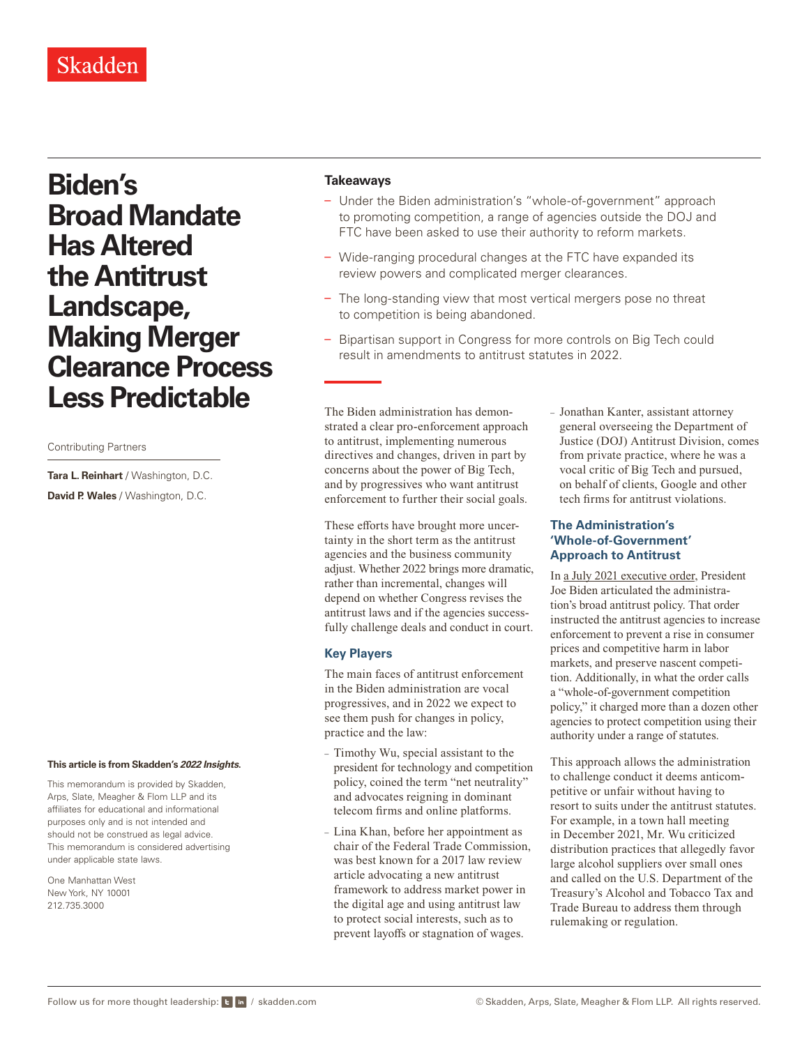## Skadden

# **Biden's Broad Mandate Has Altered the Antitrust Landscape, Making Merger Clearance Process Less Predictable**

Contributing Partners

**Tara L. Reinhart** / Washington, D.C. **David P. Wales** / Washington, D.C.

#### **This article is from Skadden's** *[2022 Insights](https://www.skadden.com/insights/publications/2022/01/2022-insights/2022-insights)***.**

This memorandum is provided by Skadden, Arps, Slate, Meagher & Flom LLP and its affiliates for educational and informational purposes only and is not intended and should not be construed as legal advice. This memorandum is considered advertising under applicable state laws.

One Manhattan West New York, NY 10001 212.735.3000

#### **Takeaways**

- Under the Biden administration's "whole-of-government" approach to promoting competition, a range of agencies outside the DOJ and FTC have been asked to use their authority to reform markets.
- Wide-ranging procedural changes at the FTC have expanded its review powers and complicated merger clearances.
- The long-standing view that most vertical mergers pose no threat to competition is being abandoned.
- Bipartisan support in Congress for more controls on Big Tech could result in amendments to antitrust statutes in 2022.

The Biden administration has demonstrated a clear pro-enforcement approach to antitrust, implementing numerous directives and changes, driven in part by concerns about the power of Big Tech, and by progressives who want antitrust enforcement to further their social goals.

These efforts have brought more uncertainty in the short term as the antitrust agencies and the business community adjust. Whether 2022 brings more dramatic, rather than incremental, changes will depend on whether Congress revises the antitrust laws and if the agencies successfully challenge deals and conduct in court.

#### **Key Players**

The main faces of antitrust enforcement in the Biden administration are vocal progressives, and in 2022 we expect to see them push for changes in policy, practice and the law:

- Timothy Wu, special assistant to the president for technology and competition policy, coined the term "net neutrality" and advocates reigning in dominant telecom firms and online platforms.
- Lina Khan, before her appointment as chair of the Federal Trade Commission, was best known for a 2017 law review article advocating a new antitrust framework to address market power in the digital age and using antitrust law to protect social interests, such as to prevent layoffs or stagnation of wages.

– Jonathan Kanter, assistant attorney general overseeing the Department of Justice (DOJ) Antitrust Division, comes from private practice, where he was a vocal critic of Big Tech and pursued, on behalf of clients, Google and other tech firms for antitrust violations.

#### **The Administration's 'Whole-of-Government' Approach to Antitrust**

In [a July 2021 executive order](https://www.whitehouse.gov/briefing-room/presidential-actions/2021/07/09/executive-order-on-promoting-competition-in-the-american-economy/), President Joe Biden articulated the administration's broad antitrust policy. That order instructed the antitrust agencies to increase enforcement to prevent a rise in consumer prices and competitive harm in labor markets, and preserve nascent competition. Additionally, in what the order calls a "whole-of-government competition policy," it charged more than a dozen other agencies to protect competition using their authority under a range of statutes.

This approach allows the administration to challenge conduct it deems anticompetitive or unfair without having to resort to suits under the antitrust statutes. For example, in a town hall meeting in December 2021, Mr. Wu criticized distribution practices that allegedly favor large alcohol suppliers over small ones and called on the U.S. Department of the Treasury's Alcohol and Tobacco Tax and Trade Bureau to address them through rulemaking or regulation.